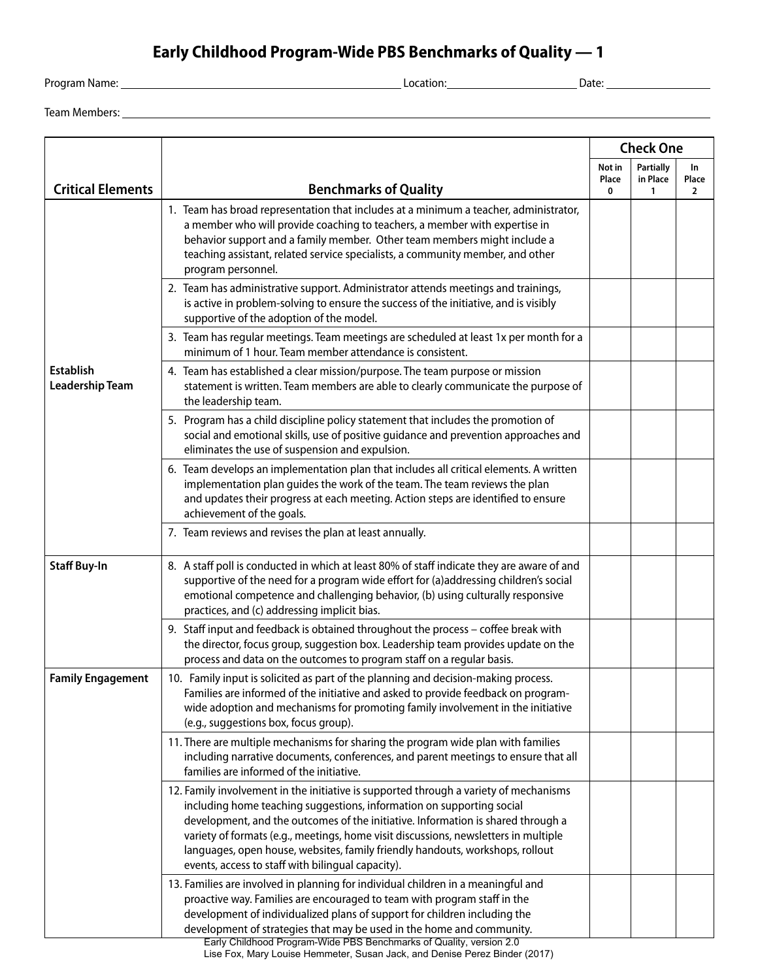## **Early Childhood Program-Wide PBS Benchmarks of Quality — 1**

<u> 1980 - Johann Barbara, martxa alemaniar argumento este alemaniar alemaniar alemaniar alemaniar alemaniar al</u>

Program Name: Location: Date:

| Team Members: |  |
|---------------|--|
|---------------|--|

|                                            |                                                                                                                                                                                                                                                                                                                                                                                                                                                                                 | <b>Check One</b>     |                            |                                |
|--------------------------------------------|---------------------------------------------------------------------------------------------------------------------------------------------------------------------------------------------------------------------------------------------------------------------------------------------------------------------------------------------------------------------------------------------------------------------------------------------------------------------------------|----------------------|----------------------------|--------------------------------|
| <b>Critical Elements</b>                   | <b>Benchmarks of Quality</b>                                                                                                                                                                                                                                                                                                                                                                                                                                                    | Not in<br>Place<br>0 | Partially<br>in Place<br>1 | In.<br>Place<br>$\overline{2}$ |
| <b>Establish</b><br><b>Leadership Team</b> | 1. Team has broad representation that includes at a minimum a teacher, administrator,<br>a member who will provide coaching to teachers, a member with expertise in<br>behavior support and a family member. Other team members might include a<br>teaching assistant, related service specialists, a community member, and other<br>program personnel.                                                                                                                         |                      |                            |                                |
|                                            | 2. Team has administrative support. Administrator attends meetings and trainings,<br>is active in problem-solving to ensure the success of the initiative, and is visibly<br>supportive of the adoption of the model.                                                                                                                                                                                                                                                           |                      |                            |                                |
|                                            | 3. Team has regular meetings. Team meetings are scheduled at least 1x per month for a<br>minimum of 1 hour. Team member attendance is consistent.                                                                                                                                                                                                                                                                                                                               |                      |                            |                                |
|                                            | 4. Team has established a clear mission/purpose. The team purpose or mission<br>statement is written. Team members are able to clearly communicate the purpose of<br>the leadership team.                                                                                                                                                                                                                                                                                       |                      |                            |                                |
|                                            | 5. Program has a child discipline policy statement that includes the promotion of<br>social and emotional skills, use of positive guidance and prevention approaches and<br>eliminates the use of suspension and expulsion.                                                                                                                                                                                                                                                     |                      |                            |                                |
|                                            | 6. Team develops an implementation plan that includes all critical elements. A written<br>implementation plan guides the work of the team. The team reviews the plan<br>and updates their progress at each meeting. Action steps are identified to ensure<br>achievement of the goals.                                                                                                                                                                                          |                      |                            |                                |
|                                            | 7. Team reviews and revises the plan at least annually.                                                                                                                                                                                                                                                                                                                                                                                                                         |                      |                            |                                |
| <b>Staff Buy-In</b>                        | 8. A staff poll is conducted in which at least 80% of staff indicate they are aware of and<br>supportive of the need for a program wide effort for (a)addressing children's social<br>emotional competence and challenging behavior, (b) using culturally responsive<br>practices, and (c) addressing implicit bias.                                                                                                                                                            |                      |                            |                                |
|                                            | 9. Staff input and feedback is obtained throughout the process - coffee break with<br>the director, focus group, suggestion box. Leadership team provides update on the<br>process and data on the outcomes to program staff on a regular basis.                                                                                                                                                                                                                                |                      |                            |                                |
| <b>Family Engagement</b>                   | 10. Family input is solicited as part of the planning and decision-making process.<br>Families are informed of the initiative and asked to provide feedback on program-<br>wide adoption and mechanisms for promoting family involvement in the initiative<br>(e.g., suggestions box, focus group).                                                                                                                                                                             |                      |                            |                                |
|                                            | 11. There are multiple mechanisms for sharing the program wide plan with families<br>including narrative documents, conferences, and parent meetings to ensure that all<br>families are informed of the initiative.                                                                                                                                                                                                                                                             |                      |                            |                                |
|                                            | 12. Family involvement in the initiative is supported through a variety of mechanisms<br>including home teaching suggestions, information on supporting social<br>development, and the outcomes of the initiative. Information is shared through a<br>variety of formats (e.g., meetings, home visit discussions, newsletters in multiple<br>languages, open house, websites, family friendly handouts, workshops, rollout<br>events, access to staff with bilingual capacity). |                      |                            |                                |
|                                            | 13. Families are involved in planning for individual children in a meaningful and<br>proactive way. Families are encouraged to team with program staff in the<br>development of individualized plans of support for children including the<br>development of strategies that may be used in the home and community.<br>Early Childhood Program-Wide PBS Benchmarks of Quality, version 2.0<br>Lise Fox, Mary Louise Hemmeter, Susan Jack, and Denise Perez Binder (2017)        |                      |                            |                                |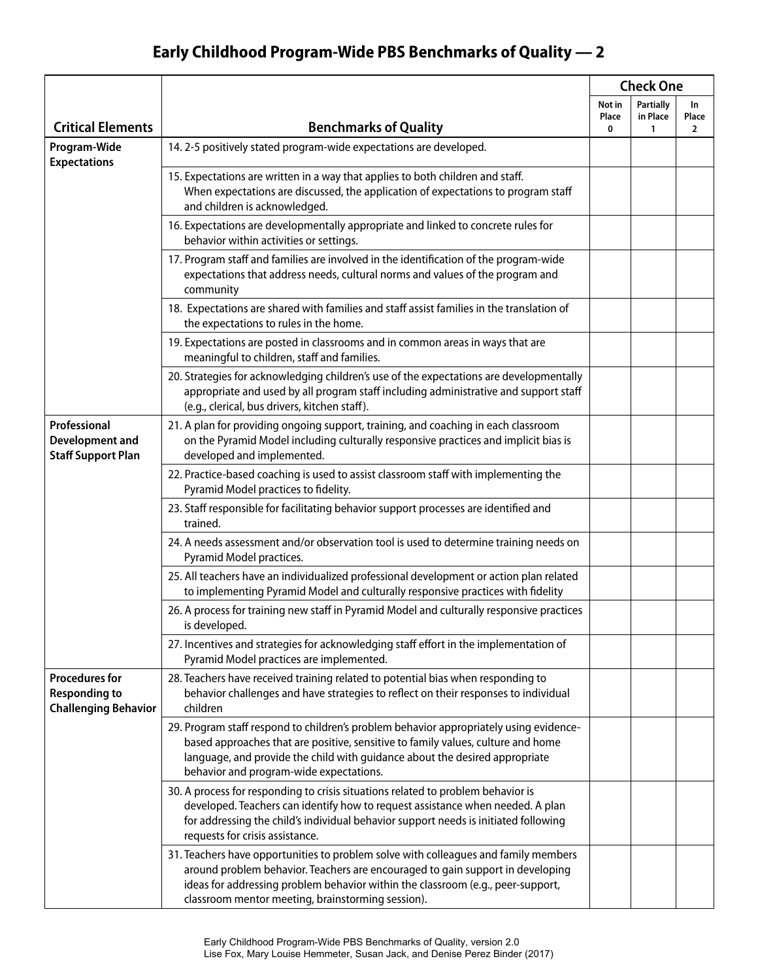## **Early Childhood Program-Wide PBS Benchmarks of Quality — 2**

|                                                                              |                                                                                                                                                                                                                                                                                                               | <b>Check One</b>     |                                   |                               |
|------------------------------------------------------------------------------|---------------------------------------------------------------------------------------------------------------------------------------------------------------------------------------------------------------------------------------------------------------------------------------------------------------|----------------------|-----------------------------------|-------------------------------|
| <b>Critical Elements</b>                                                     | <b>Benchmarks of Quality</b>                                                                                                                                                                                                                                                                                  | Not in<br>Place<br>0 | <b>Partially</b><br>in Place<br>1 | In<br>Place<br>$\overline{2}$ |
| Program-Wide                                                                 | 14. 2-5 positively stated program-wide expectations are developed.                                                                                                                                                                                                                                            |                      |                                   |                               |
| <b>Expectations</b>                                                          | 15. Expectations are written in a way that applies to both children and staff.<br>When expectations are discussed, the application of expectations to program staff<br>and children is acknowledged.                                                                                                          |                      |                                   |                               |
|                                                                              | 16. Expectations are developmentally appropriate and linked to concrete rules for<br>behavior within activities or settings.                                                                                                                                                                                  |                      |                                   |                               |
|                                                                              | 17. Program staff and families are involved in the identification of the program-wide<br>expectations that address needs, cultural norms and values of the program and<br>community                                                                                                                           |                      |                                   |                               |
|                                                                              | 18. Expectations are shared with families and staff assist families in the translation of<br>the expectations to rules in the home.                                                                                                                                                                           |                      |                                   |                               |
|                                                                              | 19. Expectations are posted in classrooms and in common areas in ways that are<br>meaningful to children, staff and families.                                                                                                                                                                                 |                      |                                   |                               |
|                                                                              | 20. Strategies for acknowledging children's use of the expectations are developmentally<br>appropriate and used by all program staff including administrative and support staff<br>(e.g., clerical, bus drivers, kitchen staff).                                                                              |                      |                                   |                               |
| Professional<br><b>Development and</b><br><b>Staff Support Plan</b>          | 21. A plan for providing ongoing support, training, and coaching in each classroom<br>on the Pyramid Model including culturally responsive practices and implicit bias is<br>developed and implemented.                                                                                                       |                      |                                   |                               |
|                                                                              | 22. Practice-based coaching is used to assist classroom staff with implementing the<br>Pyramid Model practices to fidelity.                                                                                                                                                                                   |                      |                                   |                               |
|                                                                              | 23. Staff responsible for facilitating behavior support processes are identified and<br>trained.                                                                                                                                                                                                              |                      |                                   |                               |
|                                                                              | 24. A needs assessment and/or observation tool is used to determine training needs on<br>Pyramid Model practices.                                                                                                                                                                                             |                      |                                   |                               |
|                                                                              | 25. All teachers have an individualized professional development or action plan related<br>to implementing Pyramid Model and culturally responsive practices with fidelity                                                                                                                                    |                      |                                   |                               |
|                                                                              | 26. A process for training new staff in Pyramid Model and culturally responsive practices<br>is developed.                                                                                                                                                                                                    |                      |                                   |                               |
|                                                                              | 27. Incentives and strategies for acknowledging staff effort in the implementation of<br>Pyramid Model practices are implemented.                                                                                                                                                                             |                      |                                   |                               |
| <b>Procedures for</b><br><b>Responding to</b><br><b>Challenging Behavior</b> | 28. Teachers have received training related to potential bias when responding to<br>behavior challenges and have strategies to reflect on their responses to individual<br>children                                                                                                                           |                      |                                   |                               |
|                                                                              | 29. Program staff respond to children's problem behavior appropriately using evidence-<br>based approaches that are positive, sensitive to family values, culture and home<br>language, and provide the child with guidance about the desired appropriate<br>behavior and program-wide expectations.          |                      |                                   |                               |
|                                                                              | 30. A process for responding to crisis situations related to problem behavior is<br>developed. Teachers can identify how to request assistance when needed. A plan<br>for addressing the child's individual behavior support needs is initiated following<br>requests for crisis assistance.                  |                      |                                   |                               |
|                                                                              | 31. Teachers have opportunities to problem solve with colleagues and family members<br>around problem behavior. Teachers are encouraged to gain support in developing<br>ideas for addressing problem behavior within the classroom (e.g., peer-support,<br>classroom mentor meeting, brainstorming session). |                      |                                   |                               |